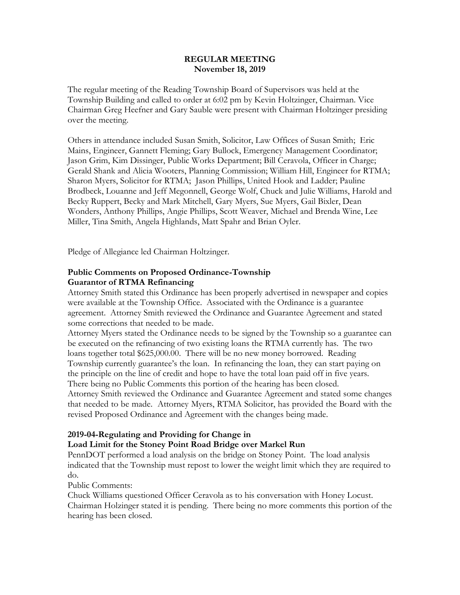#### **REGULAR MEETING November 18, 2019**

The regular meeting of the Reading Township Board of Supervisors was held at the Township Building and called to order at 6:02 pm by Kevin Holtzinger, Chairman. Vice Chairman Greg Heefner and Gary Sauble were present with Chairman Holtzinger presiding over the meeting.

Others in attendance included Susan Smith, Solicitor, Law Offices of Susan Smith; Eric Mains, Engineer, Gannett Fleming; Gary Bullock, Emergency Management Coordinator; Jason Grim, Kim Dissinger, Public Works Department; Bill Ceravola, Officer in Charge; Gerald Shank and Alicia Wooters, Planning Commission; William Hill, Engineer for RTMA; Sharon Myers, Solicitor for RTMA; Jason Phillips, United Hook and Ladder; Pauline Brodbeck, Louanne and Jeff Megonnell, George Wolf, Chuck and Julie Williams, Harold and Becky Ruppert, Becky and Mark Mitchell, Gary Myers, Sue Myers, Gail Bixler, Dean Wonders, Anthony Phillips, Angie Phillips, Scott Weaver, Michael and Brenda Wine, Lee Miller, Tina Smith, Angela Highlands, Matt Spahr and Brian Oyler.

Pledge of Allegiance led Chairman Holtzinger.

### **Public Comments on Proposed Ordinance-Township Guarantor of RTMA Refinancing**

Attorney Smith stated this Ordinance has been properly advertised in newspaper and copies were available at the Township Office. Associated with the Ordinance is a guarantee agreement. Attorney Smith reviewed the Ordinance and Guarantee Agreement and stated some corrections that needed to be made.

Attorney Myers stated the Ordinance needs to be signed by the Township so a guarantee can be executed on the refinancing of two existing loans the RTMA currently has. The two loans together total \$625,000.00. There will be no new money borrowed. Reading Township currently guarantee's the loan. In refinancing the loan, they can start paying on the principle on the line of credit and hope to have the total loan paid off in five years. There being no Public Comments this portion of the hearing has been closed.

Attorney Smith reviewed the Ordinance and Guarantee Agreement and stated some changes that needed to be made. Attorney Myers, RTMA Solicitor, has provided the Board with the revised Proposed Ordinance and Agreement with the changes being made.

#### **2019-04-Regulating and Providing for Change in**

**Load Limit for the Stoney Point Road Bridge over Markel Run**

PennDOT performed a load analysis on the bridge on Stoney Point. The load analysis indicated that the Township must repost to lower the weight limit which they are required to do.

Public Comments:

Chuck Williams questioned Officer Ceravola as to his conversation with Honey Locust. Chairman Holzinger stated it is pending. There being no more comments this portion of the hearing has been closed.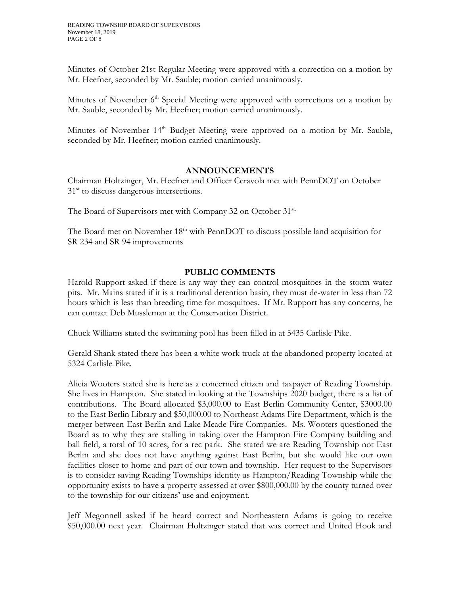Minutes of October 21st Regular Meeting were approved with a correction on a motion by Mr. Heefner, seconded by Mr. Sauble; motion carried unanimously.

Minutes of November 6<sup>th</sup> Special Meeting were approved with corrections on a motion by Mr. Sauble, seconded by Mr. Heefner; motion carried unanimously.

Minutes of November 14<sup>th</sup> Budget Meeting were approved on a motion by Mr. Sauble, seconded by Mr. Heefner; motion carried unanimously.

#### **ANNOUNCEMENTS**

Chairman Holtzinger, Mr. Heefner and Officer Ceravola met with PennDOT on October 31<sup>st</sup> to discuss dangerous intersections.

The Board of Supervisors met with Company 32 on October 31<sup>st.</sup>

The Board met on November 18<sup>th</sup> with PennDOT to discuss possible land acquisition for SR 234 and SR 94 improvements

### **PUBLIC COMMENTS**

Harold Rupport asked if there is any way they can control mosquitoes in the storm water pits. Mr. Mains stated if it is a traditional detention basin, they must de-water in less than 72 hours which is less than breeding time for mosquitoes. If Mr. Rupport has any concerns, he can contact Deb Mussleman at the Conservation District.

Chuck Williams stated the swimming pool has been filled in at 5435 Carlisle Pike.

Gerald Shank stated there has been a white work truck at the abandoned property located at 5324 Carlisle Pike.

Alicia Wooters stated she is here as a concerned citizen and taxpayer of Reading Township. She lives in Hampton. She stated in looking at the Townships 2020 budget, there is a list of contributions. The Board allocated \$3,000.00 to East Berlin Community Center, \$3000.00 to the East Berlin Library and \$50,000.00 to Northeast Adams Fire Department, which is the merger between East Berlin and Lake Meade Fire Companies. Ms. Wooters questioned the Board as to why they are stalling in taking over the Hampton Fire Company building and ball field, a total of 10 acres, for a rec park. She stated we are Reading Township not East Berlin and she does not have anything against East Berlin, but she would like our own facilities closer to home and part of our town and township. Her request to the Supervisors is to consider saving Reading Townships identity as Hampton/Reading Township while the opportunity exists to have a property assessed at over \$800,000.00 by the county turned over to the township for our citizens' use and enjoyment.

Jeff Megonnell asked if he heard correct and Northeastern Adams is going to receive \$50,000.00 next year. Chairman Holtzinger stated that was correct and United Hook and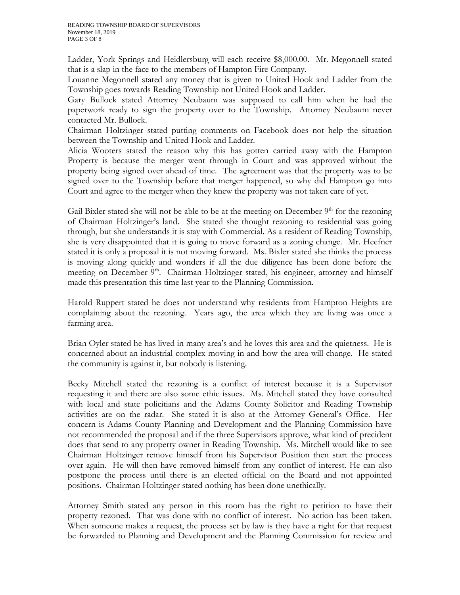Ladder, York Springs and Heidlersburg will each receive \$8,000.00. Mr. Megonnell stated that is a slap in the face to the members of Hampton Fire Company.

Louanne Megonnell stated any money that is given to United Hook and Ladder from the Township goes towards Reading Township not United Hook and Ladder.

Gary Bullock stated Attorney Neubaum was supposed to call him when he had the paperwork ready to sign the property over to the Township. Attorney Neubaum never contacted Mr. Bullock.

Chairman Holtzinger stated putting comments on Facebook does not help the situation between the Township and United Hook and Ladder.

Alicia Wooters stated the reason why this has gotten carried away with the Hampton Property is because the merger went through in Court and was approved without the property being signed over ahead of time. The agreement was that the property was to be signed over to the Township before that merger happened, so why did Hampton go into Court and agree to the merger when they knew the property was not taken care of yet.

Gail Bixler stated she will not be able to be at the meeting on December  $9<sup>th</sup>$  for the rezoning of Chairman Holtzinger's land. She stated she thought rezoning to residential was going through, but she understands it is stay with Commercial. As a resident of Reading Township, she is very disappointed that it is going to move forward as a zoning change. Mr. Heefner stated it is only a proposal it is not moving forward. Ms. Bixler stated she thinks the process is moving along quickly and wonders if all the due diligence has been done before the meeting on December 9<sup>th</sup>. Chairman Holtzinger stated, his engineer, attorney and himself made this presentation this time last year to the Planning Commission.

Harold Ruppert stated he does not understand why residents from Hampton Heights are complaining about the rezoning. Years ago, the area which they are living was once a farming area.

Brian Oyler stated he has lived in many area's and he loves this area and the quietness. He is concerned about an industrial complex moving in and how the area will change. He stated the community is against it, but nobody is listening.

Becky Mitchell stated the rezoning is a conflict of interest because it is a Supervisor requesting it and there are also some ethic issues. Ms. Mitchell stated they have consulted with local and state policitians and the Adams County Solicitor and Reading Township activities are on the radar. She stated it is also at the Attorney General's Office. Her concern is Adams County Planning and Development and the Planning Commission have not recommended the proposal and if the three Supervisors approve, what kind of precident does that send to any property owner in Reading Township. Ms. Mitchell would like to see Chairman Holtzinger remove himself from his Supervisor Position then start the process over again. He will then have removed himself from any conflict of interest. He can also postpone the process until there is an elected official on the Board and not appointed positions. Chairman Holtzinger stated nothing has been done unethically.

Attorney Smith stated any person in this room has the right to petition to have their property rezoned. That was done with no conflict of interest. No action has been taken. When someone makes a request, the process set by law is they have a right for that request be forwarded to Planning and Development and the Planning Commission for review and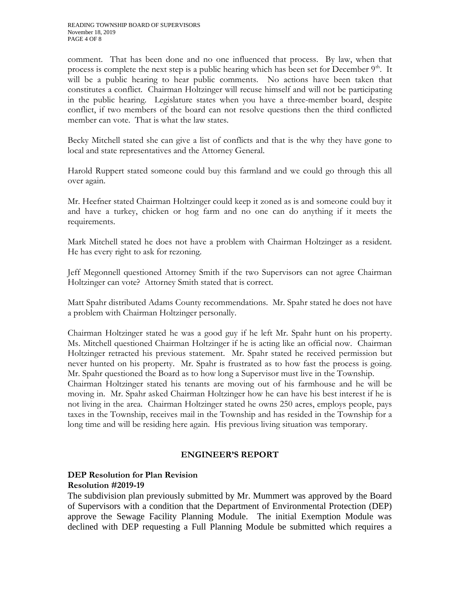comment. That has been done and no one influenced that process. By law, when that process is complete the next step is a public hearing which has been set for December  $9<sup>th</sup>$ . It will be a public hearing to hear public comments. No actions have been taken that constitutes a conflict. Chairman Holtzinger will recuse himself and will not be participating in the public hearing. Legislature states when you have a three-member board, despite conflict, if two members of the board can not resolve questions then the third conflicted member can vote. That is what the law states.

Becky Mitchell stated she can give a list of conflicts and that is the why they have gone to local and state representatives and the Attorney General.

Harold Ruppert stated someone could buy this farmland and we could go through this all over again.

Mr. Heefner stated Chairman Holtzinger could keep it zoned as is and someone could buy it and have a turkey, chicken or hog farm and no one can do anything if it meets the requirements.

Mark Mitchell stated he does not have a problem with Chairman Holtzinger as a resident. He has every right to ask for rezoning.

Jeff Megonnell questioned Attorney Smith if the two Supervisors can not agree Chairman Holtzinger can vote? Attorney Smith stated that is correct.

Matt Spahr distributed Adams County recommendations. Mr. Spahr stated he does not have a problem with Chairman Holtzinger personally.

Chairman Holtzinger stated he was a good guy if he left Mr. Spahr hunt on his property. Ms. Mitchell questioned Chairman Holtzinger if he is acting like an official now. Chairman Holtzinger retracted his previous statement. Mr. Spahr stated he received permission but never hunted on his property. Mr. Spahr is frustrated as to how fast the process is going. Mr. Spahr questioned the Board as to how long a Supervisor must live in the Township. Chairman Holtzinger stated his tenants are moving out of his farmhouse and he will be moving in. Mr. Spahr asked Chairman Holtzinger how he can have his best interest if he is not living in the area. Chairman Holtzinger stated he owns 250 acres, employs people, pays taxes in the Township, receives mail in the Township and has resided in the Township for a long time and will be residing here again. His previous living situation was temporary.

# **ENGINEER'S REPORT**

#### **DEP Resolution for Plan Revision Resolution #2019-19**

The subdivision plan previously submitted by Mr. Mummert was approved by the Board of Supervisors with a condition that the Department of Environmental Protection (DEP) approve the Sewage Facility Planning Module. The initial Exemption Module was declined with DEP requesting a Full Planning Module be submitted which requires a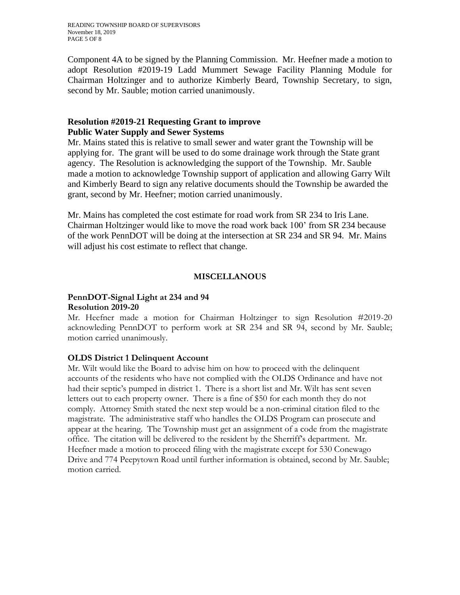Component 4A to be signed by the Planning Commission. Mr. Heefner made a motion to adopt Resolution #2019-19 Ladd Mummert Sewage Facility Planning Module for Chairman Holtzinger and to authorize Kimberly Beard, Township Secretary, to sign, second by Mr. Sauble; motion carried unanimously.

# **Resolution #2019-21 Requesting Grant to improve Public Water Supply and Sewer Systems**

Mr. Mains stated this is relative to small sewer and water grant the Township will be applying for. The grant will be used to do some drainage work through the State grant agency. The Resolution is acknowledging the support of the Township. Mr. Sauble made a motion to acknowledge Township support of application and allowing Garry Wilt and Kimberly Beard to sign any relative documents should the Township be awarded the grant, second by Mr. Heefner; motion carried unanimously.

Mr. Mains has completed the cost estimate for road work from SR 234 to Iris Lane. Chairman Holtzinger would like to move the road work back 100' from SR 234 because of the work PennDOT will be doing at the intersection at SR 234 and SR 94. Mr. Mains will adjust his cost estimate to reflect that change.

# **MISCELLANOUS**

### **PennDOT-Signal Light at 234 and 94 Resolution 2019-20**

Mr. Heefner made a motion for Chairman Holtzinger to sign Resolution #2019-20 acknowleding PennDOT to perform work at SR 234 and SR 94, second by Mr. Sauble; motion carried unanimously.

# **OLDS District 1 Delinquent Account**

Mr. Wilt would like the Board to advise him on how to proceed with the delinquent accounts of the residents who have not complied with the OLDS Ordinance and have not had their septic's pumped in district 1. There is a short list and Mr. Wilt has sent seven letters out to each property owner. There is a fine of \$50 for each month they do not comply. Attorney Smith stated the next step would be a non-criminal citation filed to the magistrate. The administrative staff who handles the OLDS Program can prosecute and appear at the hearing. The Township must get an assignment of a code from the magistrate office. The citation will be delivered to the resident by the Sherriff's department. Mr. Heefner made a motion to proceed filing with the magistrate except for 530 Conewago Drive and 774 Peepytown Road until further information is obtained, second by Mr. Sauble; motion carried.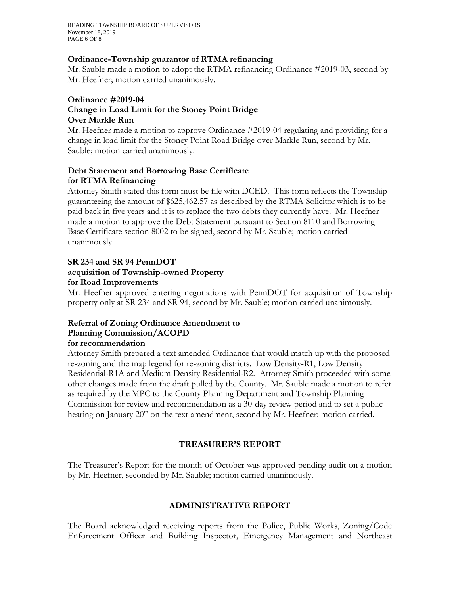READING TOWNSHIP BOARD OF SUPERVISORS November 18, 2019 PAGE 6 OF 8

#### **Ordinance-Township guarantor of RTMA refinancing**

Mr. Sauble made a motion to adopt the RTMA refinancing Ordinance #2019-03, second by Mr. Heefner; motion carried unanimously.

#### **Ordinance #2019-04 Change in Load Limit for the Stoney Point Bridge Over Markle Run**

Mr. Heefner made a motion to approve Ordinance #2019-04 regulating and providing for a change in load limit for the Stoney Point Road Bridge over Markle Run, second by Mr. Sauble; motion carried unanimously.

### **Debt Statement and Borrowing Base Certificate for RTMA Refinancing**

Attorney Smith stated this form must be file with DCED. This form reflects the Township guaranteeing the amount of \$625,462.57 as described by the RTMA Solicitor which is to be paid back in five years and it is to replace the two debts they currently have. Mr. Heefner made a motion to approve the Debt Statement pursuant to Section 8110 and Borrowing Base Certificate section 8002 to be signed, second by Mr. Sauble; motion carried unanimously.

#### **SR 234 and SR 94 PennDOT acquisition of Township-owned Property**

#### **for Road Improvements**

Mr. Heefner approved entering negotiations with PennDOT for acquisition of Township property only at SR 234 and SR 94, second by Mr. Sauble; motion carried unanimously.

#### **Referral of Zoning Ordinance Amendment to Planning Commission/ACOPD for recommendation**

### Attorney Smith prepared a text amended Ordinance that would match up with the proposed re-zoning and the map legend for re-zoning districts. Low Density-R1, Low Density Residential-R1A and Medium Density Residential-R2. Attorney Smith proceeded with some other changes made from the draft pulled by the County. Mr. Sauble made a motion to refer as required by the MPC to the County Planning Department and Township Planning Commission for review and recommendation as a 30-day review period and to set a public hearing on January 20<sup>th</sup> on the text amendment, second by Mr. Heefner; motion carried.

# **TREASURER'S REPORT**

The Treasurer's Report for the month of October was approved pending audit on a motion by Mr. Heefner, seconded by Mr. Sauble; motion carried unanimously.

# **ADMINISTRATIVE REPORT**

The Board acknowledged receiving reports from the Police, Public Works, Zoning/Code Enforcement Officer and Building Inspector, Emergency Management and Northeast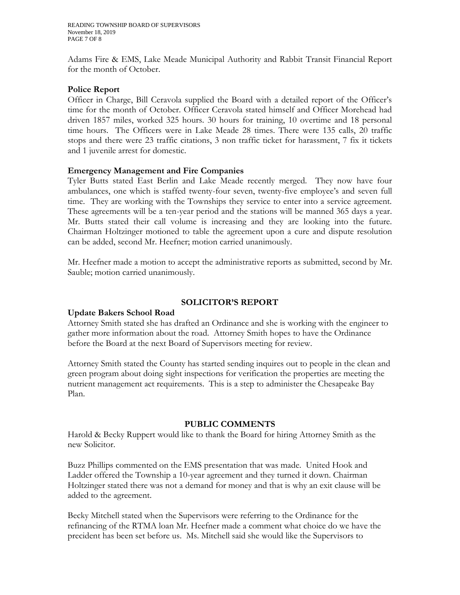Adams Fire & EMS, Lake Meade Municipal Authority and Rabbit Transit Financial Report for the month of October.

#### **Police Report**

Officer in Charge, Bill Ceravola supplied the Board with a detailed report of the Officer's time for the month of October. Officer Ceravola stated himself and Officer Morehead had driven 1857 miles, worked 325 hours. 30 hours for training, 10 overtime and 18 personal time hours. The Officers were in Lake Meade 28 times. There were 135 calls, 20 traffic stops and there were 23 traffic citations, 3 non traffic ticket for harassment, 7 fix it tickets and 1 juvenile arrest for domestic.

#### **Emergency Management and Fire Companies**

Tyler Butts stated East Berlin and Lake Meade recently merged. They now have four ambulances, one which is staffed twenty-four seven, twenty-five employee's and seven full time. They are working with the Townships they service to enter into a service agreement. These agreements will be a ten-year period and the stations will be manned 365 days a year. Mr. Butts stated their call volume is increasing and they are looking into the future. Chairman Holtzinger motioned to table the agreement upon a cure and dispute resolution can be added, second Mr. Heefner; motion carried unanimously.

Mr. Heefner made a motion to accept the administrative reports as submitted, second by Mr. Sauble; motion carried unanimously.

#### **SOLICITOR'S REPORT**

#### **Update Bakers School Road**

Attorney Smith stated she has drafted an Ordinance and she is working with the engineer to gather more information about the road. Attorney Smith hopes to have the Ordinance before the Board at the next Board of Supervisors meeting for review.

Attorney Smith stated the County has started sending inquires out to people in the clean and green program about doing sight inspections for verification the properties are meeting the nutrient management act requirements. This is a step to administer the Chesapeake Bay Plan.

#### **PUBLIC COMMENTS**

Harold & Becky Ruppert would like to thank the Board for hiring Attorney Smith as the new Solicitor.

Buzz Phillips commented on the EMS presentation that was made. United Hook and Ladder offered the Township a 10-year agreement and they turned it down. Chairman Holtzinger stated there was not a demand for money and that is why an exit clause will be added to the agreement.

Becky Mitchell stated when the Supervisors were referring to the Ordinance for the refinancing of the RTMA loan Mr. Heefner made a comment what choice do we have the precident has been set before us. Ms. Mitchell said she would like the Supervisors to